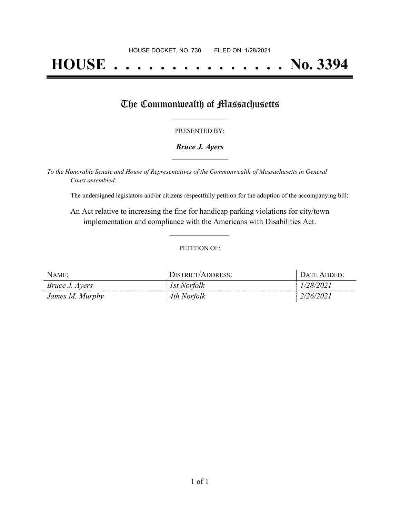# **HOUSE . . . . . . . . . . . . . . . No. 3394**

## The Commonwealth of Massachusetts

#### PRESENTED BY:

#### *Bruce J. Ayers* **\_\_\_\_\_\_\_\_\_\_\_\_\_\_\_\_\_**

*To the Honorable Senate and House of Representatives of the Commonwealth of Massachusetts in General Court assembled:*

The undersigned legislators and/or citizens respectfully petition for the adoption of the accompanying bill:

An Act relative to increasing the fine for handicap parking violations for city/town implementation and compliance with the Americans with Disabilities Act.

**\_\_\_\_\_\_\_\_\_\_\_\_\_\_\_**

#### PETITION OF:

| NAME:                 | DISTRICT/ADDRESS: | DATE ADDED: |
|-----------------------|-------------------|-------------|
| <i>Bruce J. Ayers</i> | 1st Norfolk       | 1/28/2021   |
| James M. Murphy       | 4th Norfolk       | 2/26/2021   |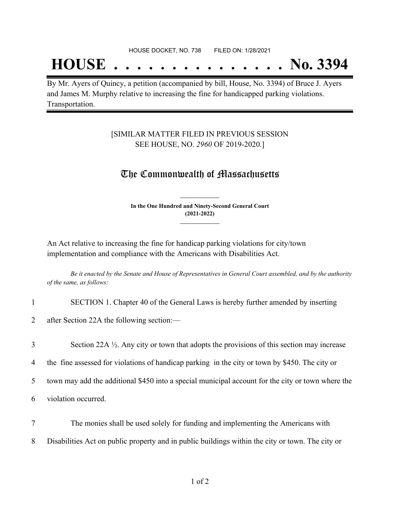## **HOUSE . . . . . . . . . . . . . . . No. 3394**

By Mr. Ayers of Quincy, a petition (accompanied by bill, House, No. 3394) of Bruce J. Ayers and James M. Murphy relative to increasing the fine for handicapped parking violations. Transportation.

### [SIMILAR MATTER FILED IN PREVIOUS SESSION SEE HOUSE, NO. *2960* OF 2019-2020.]

## The Commonwealth of Massachusetts

**In the One Hundred and Ninety-Second General Court (2021-2022) \_\_\_\_\_\_\_\_\_\_\_\_\_\_\_**

**\_\_\_\_\_\_\_\_\_\_\_\_\_\_\_**

An Act relative to increasing the fine for handicap parking violations for city/town implementation and compliance with the Americans with Disabilities Act.

Be it enacted by the Senate and House of Representatives in General Court assembled, and by the authority *of the same, as follows:*

1 SECTION 1. Chapter 40 of the General Laws is hereby further amended by inserting

2 after Section 22A the following section:—

3 Section 22A ½. Any city or town that adopts the provisions of this section may increase

4 the fine assessed for violations of handicap parking in the city or town by \$450. The city or

5 town may add the additional \$450 into a special municipal account for the city or town where the

- 6 violation occurred.
- 7 The monies shall be used solely for funding and implementing the Americans with 8 Disabilities Act on public property and in public buildings within the city or town. The city or